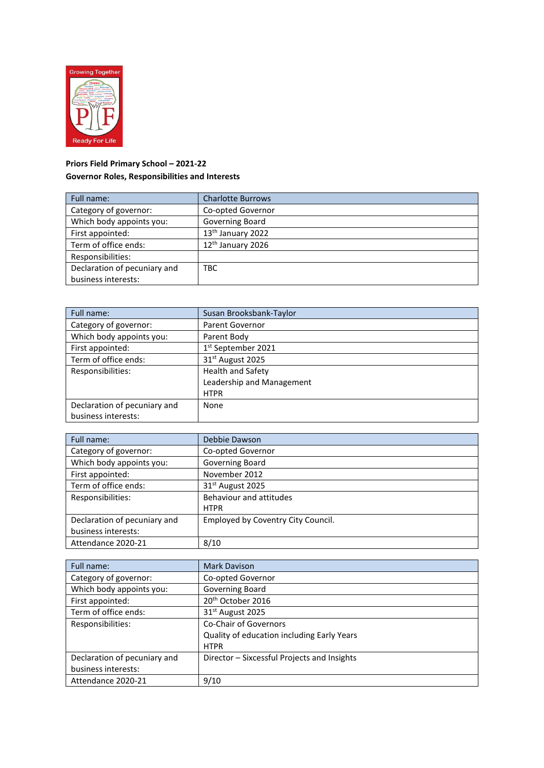

## **Priors Field Primary School – 2021-22 Governor Roles, Responsibilities and Interests**

| Full name:                   | <b>Charlotte Burrows</b>      |
|------------------------------|-------------------------------|
| Category of governor:        | Co-opted Governor             |
| Which body appoints you:     | Governing Board               |
| First appointed:             | 13 <sup>th</sup> January 2022 |
| Term of office ends:         | 12 <sup>th</sup> January 2026 |
| Responsibilities:            |                               |
| Declaration of pecuniary and | TBC                           |
| business interests:          |                               |

| Full name:                   | Susan Brooksbank-Taylor        |
|------------------------------|--------------------------------|
| Category of governor:        | <b>Parent Governor</b>         |
| Which body appoints you:     | Parent Body                    |
| First appointed:             | 1 <sup>st</sup> September 2021 |
| Term of office ends:         | 31 <sup>st</sup> August 2025   |
| Responsibilities:            | <b>Health and Safety</b>       |
|                              | Leadership and Management      |
|                              | <b>HTPR</b>                    |
| Declaration of pecuniary and | None                           |
| business interests:          |                                |

| Full name:                   | Debbie Dawson                      |
|------------------------------|------------------------------------|
| Category of governor:        | Co-opted Governor                  |
| Which body appoints you:     | <b>Governing Board</b>             |
| First appointed:             | November 2012                      |
| Term of office ends:         | 31 <sup>st</sup> August 2025       |
| Responsibilities:            | Behaviour and attitudes            |
|                              | <b>HTPR</b>                        |
| Declaration of pecuniary and | Employed by Coventry City Council. |
| business interests:          |                                    |
| Attendance 2020-21           | 8/10                               |

| Full name:                   | Mark Davison                                |
|------------------------------|---------------------------------------------|
| Category of governor:        | Co-opted Governor                           |
| Which body appoints you:     | Governing Board                             |
| First appointed:             | 20 <sup>th</sup> October 2016               |
| Term of office ends:         | 31 <sup>st</sup> August 2025                |
| Responsibilities:            | <b>Co-Chair of Governors</b>                |
|                              | Quality of education including Early Years  |
|                              | <b>HTPR</b>                                 |
| Declaration of pecuniary and | Director - Sixcessful Projects and Insights |
| business interests:          |                                             |
| Attendance 2020-21           | 9/10                                        |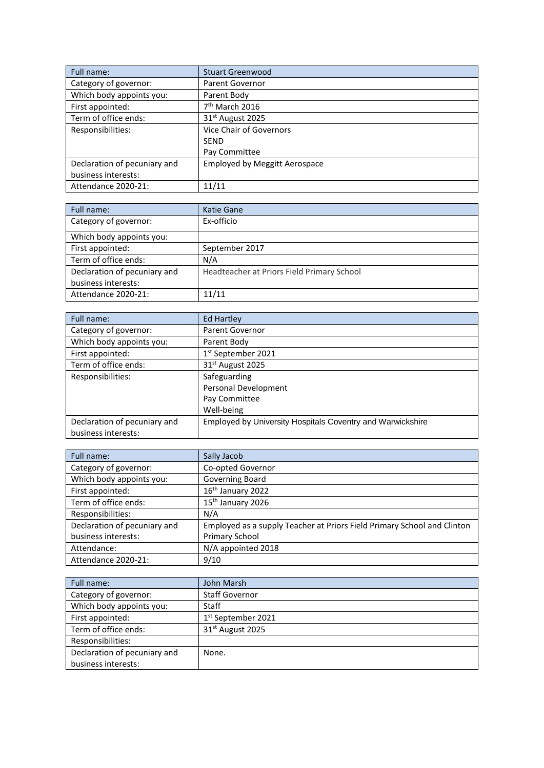| Full name:                   | <b>Stuart Greenwood</b>              |
|------------------------------|--------------------------------------|
| Category of governor:        | <b>Parent Governor</b>               |
| Which body appoints you:     | Parent Body                          |
| First appointed:             | 7 <sup>th</sup> March 2016           |
| Term of office ends:         | 31 <sup>st</sup> August 2025         |
| Responsibilities:            | Vice Chair of Governors              |
|                              | <b>SEND</b>                          |
|                              | Pay Committee                        |
| Declaration of pecuniary and | <b>Employed by Meggitt Aerospace</b> |
| business interests:          |                                      |
| Attendance 2020-21:          | 11/11                                |

| Full name:                   | Katie Gane                                 |
|------------------------------|--------------------------------------------|
| Category of governor:        | Ex-officio                                 |
| Which body appoints you:     |                                            |
| First appointed:             | September 2017                             |
| Term of office ends:         | N/A                                        |
| Declaration of pecuniary and | Headteacher at Priors Field Primary School |
| business interests:          |                                            |
| Attendance 2020-21:          | 11/11                                      |

| Full name:                   | <b>Ed Hartley</b>                                          |
|------------------------------|------------------------------------------------------------|
| Category of governor:        | <b>Parent Governor</b>                                     |
| Which body appoints you:     | Parent Body                                                |
| First appointed:             | 1st September 2021                                         |
| Term of office ends:         | 31 <sup>st</sup> August 2025                               |
| Responsibilities:            | Safeguarding                                               |
|                              | Personal Development                                       |
|                              | Pay Committee                                              |
|                              | Well-being                                                 |
| Declaration of pecuniary and | Employed by University Hospitals Coventry and Warwickshire |
| business interests:          |                                                            |

| Full name:                   | Sally Jacob                                                             |
|------------------------------|-------------------------------------------------------------------------|
| Category of governor:        | Co-opted Governor                                                       |
| Which body appoints you:     | Governing Board                                                         |
| First appointed:             | 16th January 2022                                                       |
| Term of office ends:         | 15 <sup>th</sup> January 2026                                           |
| Responsibilities:            | N/A                                                                     |
| Declaration of pecuniary and | Employed as a supply Teacher at Priors Field Primary School and Clinton |
| business interests:          | Primary School                                                          |
| Attendance:                  | N/A appointed 2018                                                      |
| Attendance 2020-21:          | 9/10                                                                    |

| Full name:                   | John Marsh                     |
|------------------------------|--------------------------------|
| Category of governor:        | <b>Staff Governor</b>          |
| Which body appoints you:     | Staff                          |
| First appointed:             | 1 <sup>st</sup> September 2021 |
| Term of office ends:         | 31 <sup>st</sup> August 2025   |
| Responsibilities:            |                                |
| Declaration of pecuniary and | None.                          |
| business interests:          |                                |